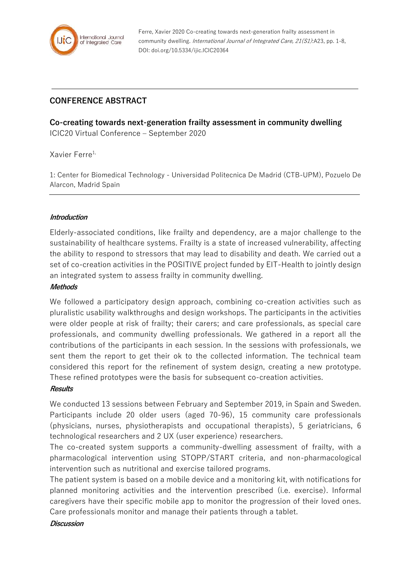

Ferre, Xavier 2020 Co-creating towards next-generation frailty assessment in community dwelling. International Journal of Integrated Care, 21(S1):A23, pp. 1-8, DOI: doi.org/10.5334/ijic.ICIC20364

# **CONFERENCE ABSTRACT**

**Co-creating towards next-generation frailty assessment in community dwelling** ICIC20 Virtual Conference – September 2020

Xavier Ferre<sup>1,</sup>

1: Center for Biomedical Technology - Universidad Politecnica De Madrid (CTB-UPM), Pozuelo De Alarcon, Madrid Spain

# **Introduction**

Elderly-associated conditions, like frailty and dependency, are a major challenge to the sustainability of healthcare systems. Frailty is a state of increased vulnerability, affecting the ability to respond to stressors that may lead to disability and death. We carried out a set of co-creation activities in the POSITIVE project funded by EIT-Health to jointly design an integrated system to assess frailty in community dwelling.

## **Methods**

We followed a participatory design approach, combining co-creation activities such as pluralistic usability walkthroughs and design workshops. The participants in the activities were older people at risk of frailty; their carers; and care professionals, as special care professionals, and community dwelling professionals. We gathered in a report all the contributions of the participants in each session. In the sessions with professionals, we sent them the report to get their ok to the collected information. The technical team considered this report for the refinement of system design, creating a new prototype. These refined prototypes were the basis for subsequent co-creation activities.

#### **Results**

We conducted 13 sessions between February and September 2019, in Spain and Sweden. Participants include 20 older users (aged 70-96), 15 community care professionals (physicians, nurses, physiotherapists and occupational therapists), 5 geriatricians, 6 technological researchers and 2 UX (user experience) researchers.

The co-created system supports a community-dwelling assessment of frailty, with a pharmacological intervention using STOPP/START criteria, and non-pharmacological intervention such as nutritional and exercise tailored programs.

The patient system is based on a mobile device and a monitoring kit, with notifications for planned monitoring activities and the intervention prescribed (i.e. exercise). Informal caregivers have their specific mobile app to monitor the progression of their loved ones. Care professionals monitor and manage their patients through a tablet.

**Discussion**